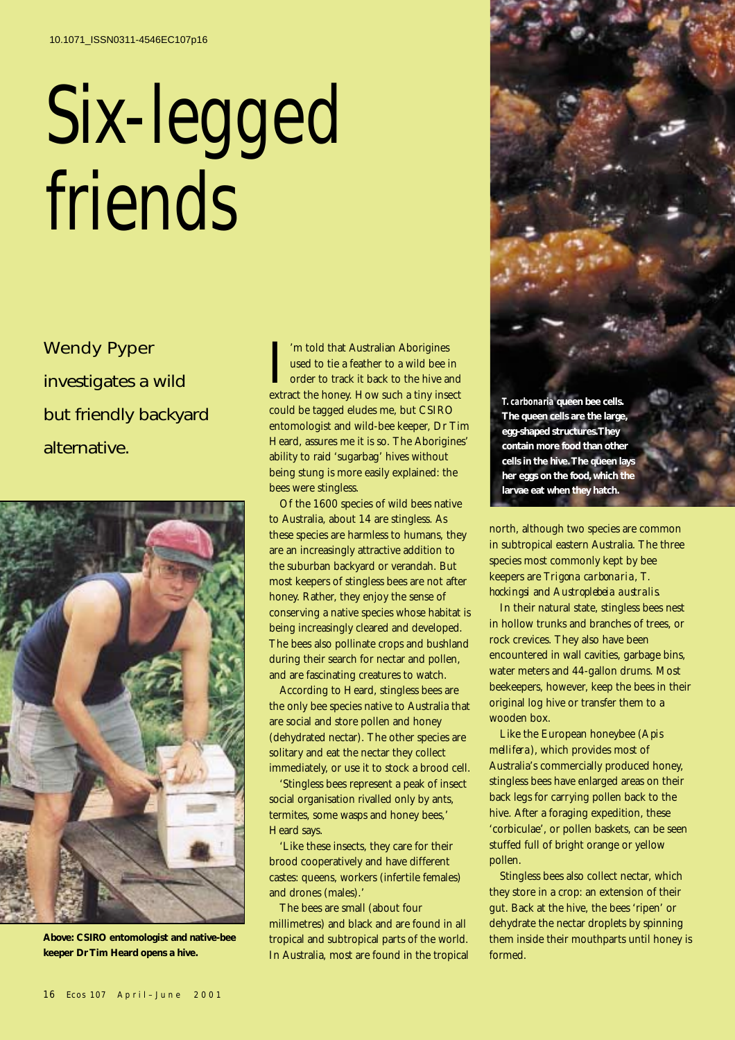## Six-legged friends

Wendy Pyper investigates a wild but friendly backyard alternative.



**Above: CSIRO entomologist and native-bee keeper Dr Tim Heard opens a hive.**

I'm told that Australian Aborigines<br>used to tie a feather to a wild bee in<br>order to track it back to the hive and<br>extract the honey. How such a tiny insect 'm told that Australian Aborigines used to tie a feather to a wild bee in order to track it back to the hive and could be tagged eludes me, but CSIRO entomologist and wild-bee keeper, Dr Tim Heard, assures me it is so. The Aborigines' ability to raid 'sugarbag' hives without being stung is more easily explained: the bees were stingless.

Of the 1600 species of wild bees native to Australia, about 14 are stingless. As these species are harmless to humans, they are an increasingly attractive addition to the suburban backyard or verandah. But most keepers of stingless bees are not after honey. Rather, they enjoy the sense of conserving a native species whose habitat is being increasingly cleared and developed. The bees also pollinate crops and bushland during their search for nectar and pollen, and are fascinating creatures to watch.

According to Heard, stingless bees are the only bee species native to Australia that are social and store pollen and honey (dehydrated nectar). The other species are solitary and eat the nectar they collect immediately, or use it to stock a brood cell.

'Stingless bees represent a peak of insect social organisation rivalled only by ants, termites, some wasps and honey bees,' Heard says.

'Like these insects, they care for their brood cooperatively and have different castes: queens, workers (infertile females) and drones (males).'

The bees are small (about four millimetres) and black and are found in all tropical and subtropical parts of the world. In Australia, most are found in the tropical *T. carbonaria* **queen bee cells. The queen cells are the large, egg-shaped structures.They contain more food than other cells in the hive. The queen lays her eggs on the food, which the larvae eat when they hatch.**

north, although two species are common in subtropical eastern Australia. The three species most commonly kept by bee keepers are *Trigona carbonaria*, *T. hockingsi* and *Austroplebeia australis*.

In their natural state, stingless bees nest in hollow trunks and branches of trees, or rock crevices. They also have been encountered in wall cavities, garbage bins, water meters and 44-gallon drums. Most beekeepers, however, keep the bees in their original log hive or transfer them to a wooden box.

Like the European honeybee (*Apis mellifera*), which provides most of Australia's commercially produced honey, stingless bees have enlarged areas on their back legs for carrying pollen back to the hive. After a foraging expedition, these 'corbiculae', or pollen baskets, can be seen stuffed full of bright orange or yellow pollen.

Stingless bees also collect nectar, which they store in a crop: an extension of their gut. Back at the hive, the bees 'ripen' or dehydrate the nectar droplets by spinning them inside their mouthparts until honey is formed.